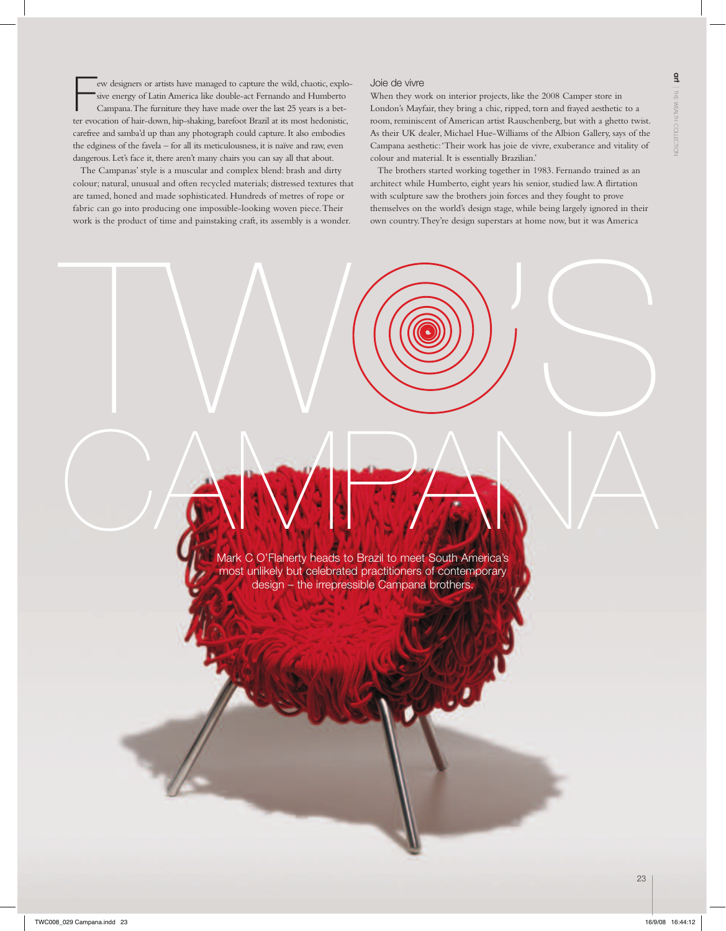Few designers or artists have managed to capture the wild, chaotic, explosive energy of Latin America like double-act Fernando and Humberto Campana. The furniture they have made over the last 25 years is a better evocation ew designers or artists have managed to capture the wild, chaotic, explosive energy of Latin America like double-act Fernando and Humberto Campana. The furniture they have made over the last 25 years is a betcarefree and samba'd up than any photograph could capture. It also embodies the edginess of the favela – for all its meticulousness, it is naïve and raw, even dangerous. Let's face it, there aren't many chairs you can say all that about.

The Campanas' style is a muscular and complex blend: brash and dirty colour; natural, unusual and often recycled materials; distressed textures that are tamed, honed and made sophisticated. Hundreds of metres of rope or fabric can go into producing one impossible-looking woven piece. Their work is the product of time and painstaking craft, its assembly is a wonder.

## Joie de vivre

 $\frac{1}{2}$ 

When they work on interior projects, like the 2008 Camper store in London's Mayfair, they bring a chic, ripped, torn and frayed aesthetic to a room, reminiscent of American artist Rauschenberg, but with a ghetto twist. As their UK dealer, Michael Hue-Williams of the Albion Gallery, says of the Campana aesthetic: 'Their work has joie de vivre, exuberance and vitality of colour and material. It is essentially Brazilian.'

The brothers started working together in 1983. Fernando trained as an architect while Humberto, eight years his senior, studied law. A flirtation with sculpture saw the brothers join forces and they fought to prove themselves on the world's design stage, while being largely ignored in their own country. They're design superstars at home now, but it was America

Mark C O'Flaherty heads to Brazil to meet South America's most unlikely but celebrated practitioners of contemporary design – the irrepressible Campana brothers. CAMPANA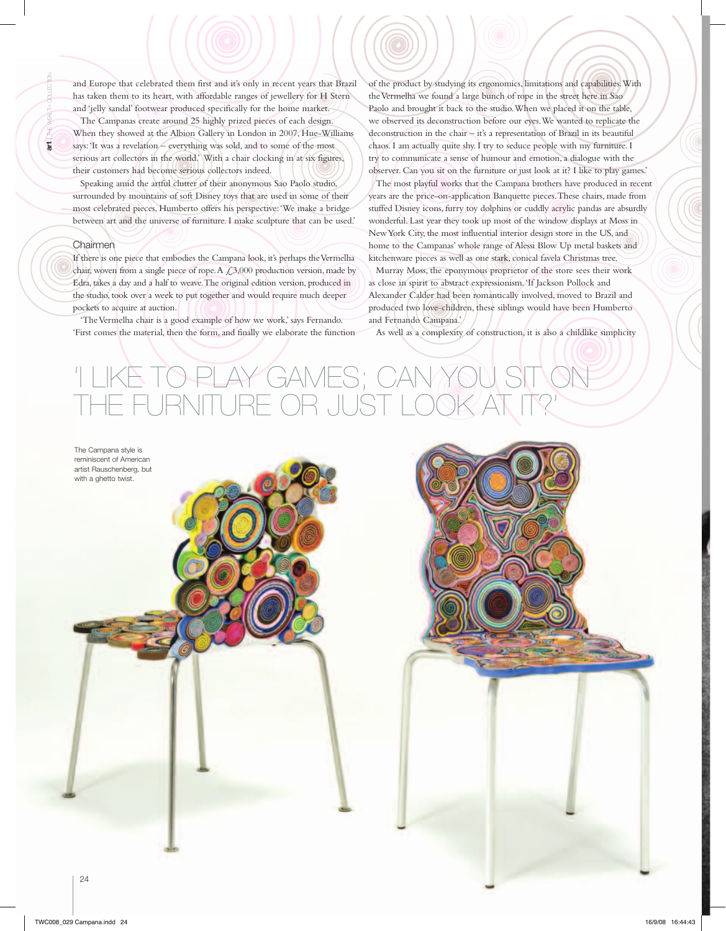and Europe that celebrated them first and it's only in recent years that Brazil has taken them to its heart, with affordable ranges of jewellery for H Stern and 'jelly sandal' footwear produced specifically for the home market.

The Campanas create around 25 highly prized pieces of each design. When they showed at the Albion Gallery in London in 2007, Hue-Williams says: 'It was a revelation – everything was sold, and to some of the most serious art collectors in the world.' With a chair clocking in at six figures, their customers had become serious collectors indeed.

Speaking amid the artful clutter of their anonymous Sao Paolo studio, surrounded by mountains of soft Disney toys that are used in some of their most celebrated pieces, Humberto offers his perspective: 'We make a bridge between art and the universe of furniture. I make sculpture that can be used.'

## Chairmen

If there is one piece that embodies the Campana look, it's perhaps the Vermelha chair, woven from a single piece of rope. A  $\mathcal{L}3,000$  production version, made by Edra, takes a day and a half to weave. The original edition version, produced in the studio, took over a week to put together and would require much deeper pockets to acquire at auction.

'The Vermelha chair is a good example of how we work,' says Fernando. 'First comes the material, then the form, and finally we elaborate the function of the product by studying its ergonomics, limitations and capabilities. With the Vermelha we found a large bunch of rope in the street here in Sao Paolo and brought it back to the studio. When we placed it on the table, we observed its deconstruction before our eyes. We wanted to replicate the deconstruction in the chair – it's a representation of Brazil in its beautiful chaos. I am actually quite shy. I try to seduce people with my furniture. I try to communicate a sense of humour and emotion, a dialogue with the observer. Can you sit on the furniture or just look at it? I like to play games.' The most playful works that the Campana brothers have produced in recent years are the price-on-application Banquette pieces. These chairs, made from stuffed Disney icons, furry toy dolphins or cuddly acrylic pandas are absurdly wonderful. Last year they took up most of the window displays at Moss in New York City, the most influential interior design store in the US, and home to the Campanas' whole range of Alessi Blow Up metal baskets and kitchenware pieces as well as one stark, conical favela Christmas tree.

Murray Moss, the eponymous proprietor of the store sees their work as close in spirit to abstract expressionism. 'If Jackson Pollock and Alexander Calder had been romantically involved, moved to Brazil and produced two love-children, these siblings would have been Humberto and Fernando Campana.'

As well as a complexity of construction, it is also a childlike simplicity

## 'I PLAY GAMES; CAN E FURNITURE OR JUST I